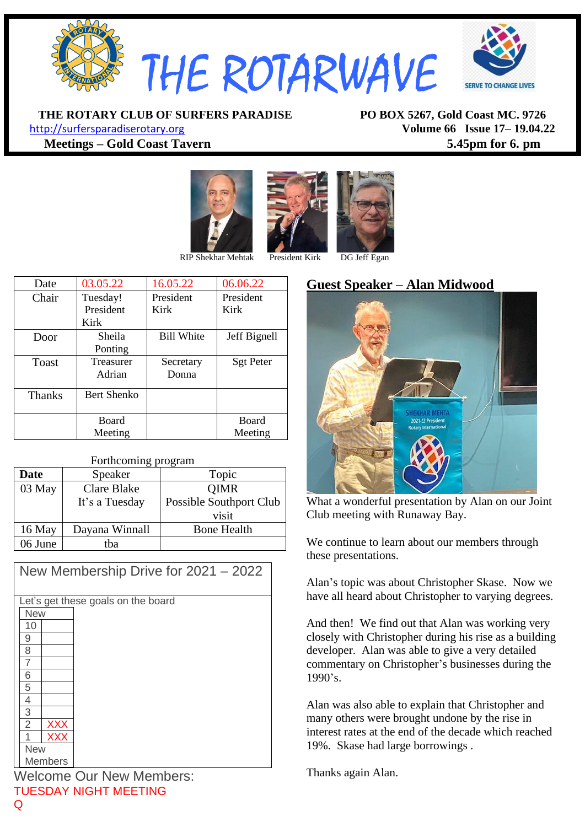

**THE ROTARY CLUB OF SURFERS PARADISE PO BOX 5267, Gold Coast MC. 9726**

[http://surfersparadiserotary.org](http://surfersparadiserotary.org/) **Volume 66 Issue 17– 19.04.22 Meetings – Gold Coast Tavern 5.45pm for 6. pm**





| Date          | 03.05.22         | 16.05.22          | 06.06.22         |
|---------------|------------------|-------------------|------------------|
| Chair         | Tuesday!         | President         | President        |
|               | President        | Kirk              | Kirk             |
|               | Kirk             |                   |                  |
| Door          | Sheila           | <b>Bill White</b> | Jeff Bignell     |
|               | Ponting          |                   |                  |
| Toast         | <b>Treasurer</b> | Secretary         | <b>Sgt Peter</b> |
|               | Adrian           | Donna             |                  |
| <b>Thanks</b> | Bert Shenko      |                   |                  |
|               |                  |                   |                  |
|               | <b>Board</b>     |                   | <b>Board</b>     |
|               | Meeting          |                   | Meeting          |

#### Forthcoming program

| Date     | Speaker        | Topic                   |
|----------|----------------|-------------------------|
| 03 May   | Clare Blake    | <b>QIMR</b>             |
|          | It's a Tuesday | Possible Southport Club |
|          |                | visit                   |
| $16$ May | Dayana Winnall | <b>Bone Health</b>      |
| 06 June  | tha            |                         |

| New Membership Drive for 2021 - 2022 |
|--------------------------------------|
|                                      |
| Let's get these goals on the board   |
| <b>New</b>                           |
| 10                                   |
| 9                                    |
| 8                                    |
|                                      |
| 6                                    |
| 5                                    |
| 4                                    |
| 3                                    |
| $\overline{2}$<br><b>XXX</b>         |
| <b>XXX</b>                           |
| <b>New</b>                           |
| Members                              |

Welcome Our New Members: TUESDAY NIGHT MEETING

# **Guest Speaker – Alan Midwood**



What a wonderful presentation by Alan on our Joint Club meeting with Runaway Bay.

We continue to learn about our members through these presentations.

Alan's topic was about Christopher Skase. Now we have all heard about Christopher to varying degrees.

And then! We find out that Alan was working very closely with Christopher during his rise as a building developer. Alan was able to give a very detailed commentary on Christopher's businesses during the 1990's.

Alan was also able to explain that Christopher and many others were brought undone by the rise in interest rates at the end of the decade which reached 19%. Skase had large borrowings .

Thanks again Alan.

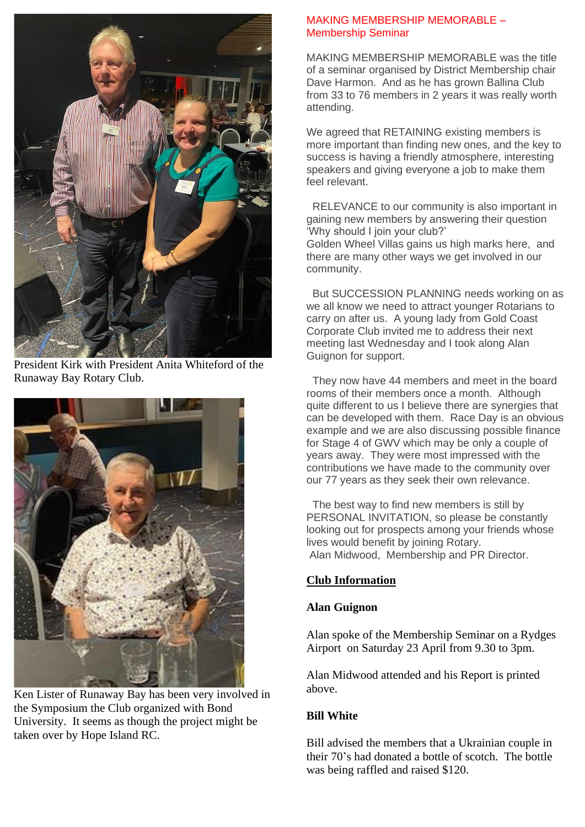

President Kirk with President Anita Whiteford of the Runaway Bay Rotary Club.



Ken Lister of Runaway Bay has been very involved in the Symposium the Club organized with Bond University. It seems as though the project might be taken over by Hope Island RC.

#### MAKING MEMBERSHIP MEMORABLE – Membership Seminar

MAKING MEMBERSHIP MEMORABLE was the title of a seminar organised by District Membership chair Dave Harmon. And as he has grown Ballina Club from 33 to 76 members in 2 years it was really worth attending.

We agreed that RETAINING existing members is more important than finding new ones, and the key to success is having a friendly atmosphere, interesting speakers and giving everyone a job to make them feel relevant.

RELEVANCE to our community is also important in gaining new members by answering their question 'Why should I join your club?' Golden Wheel Villas gains us high marks here, and there are many other ways we get involved in our community.

But SUCCESSION PLANNING needs working on as we all know we need to attract younger Rotarians to carry on after us. A young lady from Gold Coast Corporate Club invited me to address their next meeting last Wednesday and I took along Alan Guignon for support.

They now have 44 members and meet in the board rooms of their members once a month. Although quite different to us I believe there are synergies that can be developed with them. Race Day is an obvious example and we are also discussing possible finance for Stage 4 of GWV which may be only a couple of years away. They were most impressed with the contributions we have made to the community over our 77 years as they seek their own relevance.

The best way to find new members is still by PERSONAL INVITATION, so please be constantly looking out for prospects among your friends whose lives would benefit by joining Rotary. Alan Midwood, Membership and PR Director.

## **Club Information**

## **Alan Guignon**

Alan spoke of the Membership Seminar on a Rydges Airport on Saturday 23 April from 9.30 to 3pm.

Alan Midwood attended and his Report is printed above.

## **Bill White**

Bill advised the members that a Ukrainian couple in their 70's had donated a bottle of scotch. The bottle was being raffled and raised \$120.